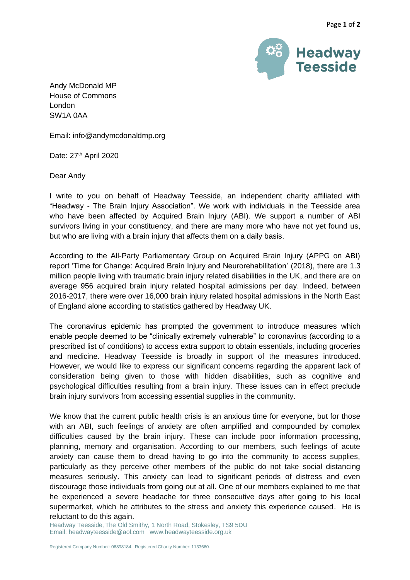

Andy McDonald MP House of Commons London SW1A 0AA

Email: info@andymcdonaldmp.org

Date: 27<sup>th</sup> April 2020

Dear Andy

I write to you on behalf of Headway Teesside, an independent charity affiliated with "Headway - The Brain Injury Association". We work with individuals in the Teesside area who have been affected by Acquired Brain Injury (ABI). We support a number of ABI survivors living in your constituency, and there are many more who have not yet found us, but who are living with a brain injury that affects them on a daily basis.

According to the All-Party Parliamentary Group on Acquired Brain Injury (APPG on ABI) report 'Time for Change: Acquired Brain Injury and Neurorehabilitation' (2018), there are 1.3 million people living with traumatic brain injury related disabilities in the UK, and there are on average 956 acquired brain injury related hospital admissions per day. Indeed, between 2016-2017, there were over 16,000 brain injury related hospital admissions in the North East of England alone according to statistics gathered by Headway UK.

The coronavirus epidemic has prompted the government to introduce measures which enable people deemed to be "clinically extremely vulnerable" to coronavirus (according to a prescribed list of conditions) to access extra support to obtain essentials, including groceries and medicine. Headway Teesside is broadly in support of the measures introduced. However, we would like to express our significant concerns regarding the apparent lack of consideration being given to those with hidden disabilities, such as cognitive and psychological difficulties resulting from a brain injury. These issues can in effect preclude brain injury survivors from accessing essential supplies in the community.

We know that the current public health crisis is an anxious time for everyone, but for those with an ABI, such feelings of anxiety are often amplified and compounded by complex difficulties caused by the brain injury. These can include poor information processing, planning, memory and organisation. According to our members, such feelings of acute anxiety can cause them to dread having to go into the community to access supplies, particularly as they perceive other members of the public do not take social distancing measures seriously. This anxiety can lead to significant periods of distress and even discourage those individuals from going out at all. One of our members explained to me that he experienced a severe headache for three consecutive days after going to his local supermarket, which he attributes to the stress and anxiety this experience caused. He is reluctant to do this again.

Headway Teesside, The Old Smithy, 1 North Road, Stokesley, TS9 5DU Email[: headwayteesside@aol.com](mailto:headwayteesside@aol.com) www.headwayteesside.org.uk